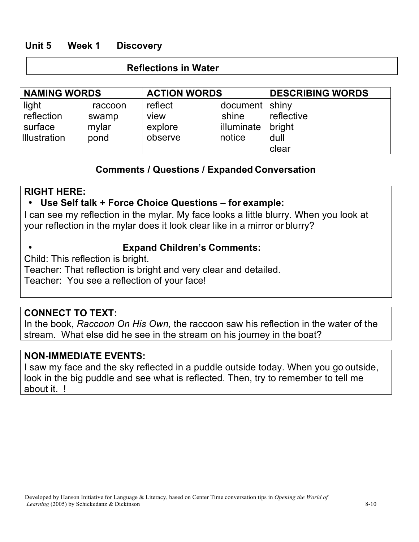# **Unit 5 Week 1 Discovery**

#### **Reflections in Water**

| <b>NAMING WORDS</b> |         | <b>ACTION WORDS</b> |                    | <b>DESCRIBING WORDS</b> |
|---------------------|---------|---------------------|--------------------|-------------------------|
| light               | raccoon | reflect             | $document  $ shiny |                         |
| reflection          | swamp   | view                | shine              | reflective              |
| surface             | mylar   | explore             | illuminate         | bright                  |
| <b>Illustration</b> | pond    | observe             | notice             | dull                    |
|                     |         |                     |                    | clear                   |

## **Comments / Questions / Expanded Conversation**

## **RIGHT HERE:**

### • **Use Self talk + Force Choice Questions – for example:**

I can see my reflection in the mylar. My face looks a little blurry. When you look at your reflection in the mylar does it look clear like in a mirror or blurry?

• **Expand Children's Comments:**

Child: This reflection is bright.

Teacher: That reflection is bright and very clear and detailed.

Teacher: You see a reflection of your face!

## **CONNECT TO TEXT:**

In the book, *Raccoon On His Own,* the raccoon saw his reflection in the water of the stream. What else did he see in the stream on his journey in the boat?

### **NON-IMMEDIATE EVENTS:**

I saw my face and the sky reflected in a puddle outside today. When you go outside, look in the big puddle and see what is reflected. Then, try to remember to tell me about it. !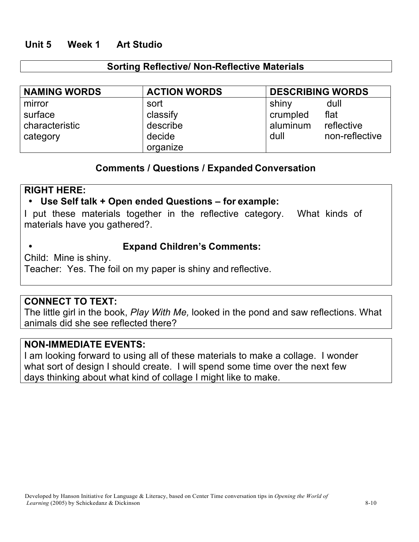# **Unit 5 Week 1 Art Studio**

### **Sorting Reflective/ Non-Reflective Materials**

| <b>NAMING WORDS</b> | <b>ACTION WORDS</b> | <b>DESCRIBING WORDS</b> |                |
|---------------------|---------------------|-------------------------|----------------|
| mirror              | sort                | shiny                   | dull           |
| surface             | classify            | crumpled                | flat           |
| characteristic      | describe            | aluminum                | reflective     |
| category            | decide              | dull                    | non-reflective |
|                     | organize            |                         |                |

### **Comments / Questions / Expanded Conversation**

### **RIGHT HERE:**

### • **Use Self talk + Open ended Questions – for example:**

I put these materials together in the reflective category. What kinds of materials have you gathered?.

#### • **Expand Children's Comments:**

Child: Mine is shiny.

Teacher: Yes. The foil on my paper is shiny and reflective.

#### **CONNECT TO TEXT:**

The little girl in the book, *Play With Me,* looked in the pond and saw reflections. What animals did she see reflected there?

#### **NON-IMMEDIATE EVENTS:**

I am looking forward to using all of these materials to make a collage. I wonder what sort of design I should create. I will spend some time over the next few days thinking about what kind of collage I might like to make.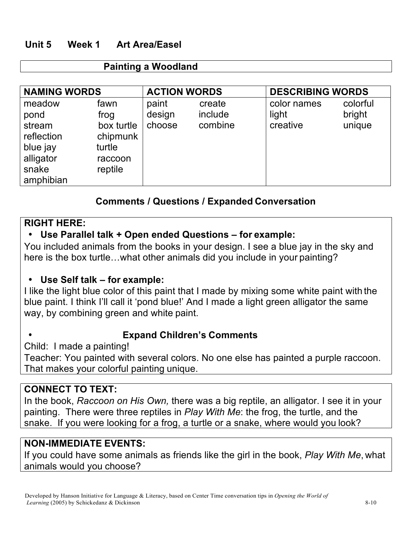# **Unit 5 Week 1 Art Area/Easel**

#### **Painting a Woodland**

| <b>NAMING WORDS</b>                                                                   |                                                                        | <b>ACTION WORDS</b>       |                              | <b>DESCRIBING WORDS</b>          |                              |
|---------------------------------------------------------------------------------------|------------------------------------------------------------------------|---------------------------|------------------------------|----------------------------------|------------------------------|
| meadow<br>pond<br>stream<br>reflection<br>blue jay<br>alligator<br>snake<br>amphibian | fawn<br>frog<br>box turtle<br>chipmunk<br>turtle<br>raccoon<br>reptile | paint<br>design<br>choose | create<br>include<br>combine | color names<br>light<br>creative | colorful<br>bright<br>unique |

## **Comments / Questions / Expanded Conversation**

## **RIGHT HERE:**

## • **Use Parallel talk + Open ended Questions – for example:**

You included animals from the books in your design. I see a blue jay in the sky and here is the box turtle…what other animals did you include in your painting?

### • **Use Self talk – for example:**

I like the light blue color of this paint that I made by mixing some white paint with the blue paint. I think I'll call it 'pond blue!' And I made a light green alligator the same way, by combining green and white paint.

## • **Expand Children's Comments**

Child: I made a painting!

Teacher: You painted with several colors. No one else has painted a purple raccoon. That makes your colorful painting unique.

## **CONNECT TO TEXT:**

In the book, *Raccoon on His Own,* there was a big reptile, an alligator. I see it in your painting. There were three reptiles in *Play With Me*: the frog, the turtle, and the snake. If you were looking for a frog, a turtle or a snake, where would you look?

### **NON-IMMEDIATE EVENTS:**

If you could have some animals as friends like the girl in the book, *Play With Me*, what animals would you choose?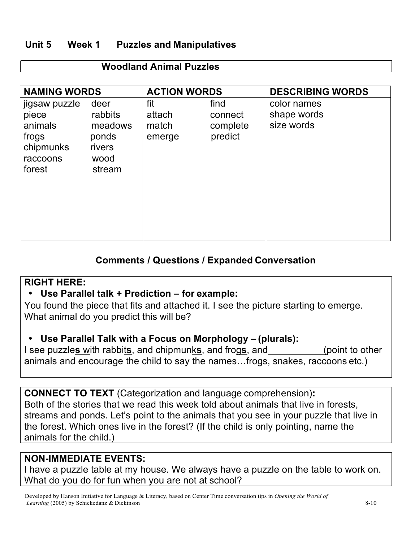# **Unit 5 Week 1 Puzzles and Manipulatives**

| <b>NAMING WORDS</b>                                                           |                                                                 | <b>ACTION WORDS</b>              |                                        | <b>DESCRIBING WORDS</b>                  |
|-------------------------------------------------------------------------------|-----------------------------------------------------------------|----------------------------------|----------------------------------------|------------------------------------------|
| jigsaw puzzle<br>piece<br>animals<br>frogs<br>chipmunks<br>raccoons<br>forest | deer<br>rabbits<br>meadows<br>ponds<br>rivers<br>wood<br>stream | fit<br>attach<br>match<br>emerge | find<br>connect<br>complete<br>predict | color names<br>shape words<br>size words |

### **Woodland Animal Puzzles**

# **Comments / Questions / Expanded Conversation**

## **RIGHT HERE:**

## • **Use Parallel talk + Prediction – for example:**

You found the piece that fits and attached it. I see the picture starting to emerge. What animal do you predict this will be?

## • **Use Parallel Talk with a Focus on Morphology – (plurals):**

I see puzzle**s** with rabbit**s**, and chipmunk**s**, and frog**s**, and (point to other animals and encourage the child to say the names…frogs, snakes, raccoons etc.)

**CONNECT TO TEXT** (Categorization and language comprehension)**:** Both of the stories that we read this week told about animals that live in forests, streams and ponds. Let's point to the animals that you see in your puzzle that live in the forest. Which ones live in the forest? (If the child is only pointing, name the animals for the child.)

# **NON-IMMEDIATE EVENTS:**

I have a puzzle table at my house. We always have a puzzle on the table to work on. What do you do for fun when you are not at school?

Developed by Hanson Initiative for Language & Literacy, based on Center Time conversation tips in *Opening the World of Learning* (2005) by Schickedanz & Dickinson 8-10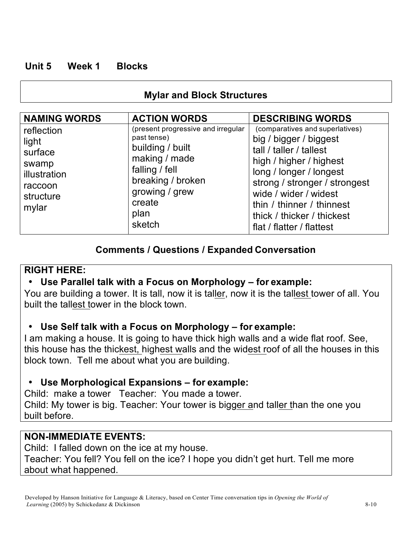# **Unit 5 Week 1 Blocks**

# **Mylar and Block Structures**

| <b>NAMING WORDS</b>                                                                      | <b>ACTION WORDS</b>                                                                                                                                                         | <b>DESCRIBING WORDS</b>                                                                                                                                                                                                                                                                      |
|------------------------------------------------------------------------------------------|-----------------------------------------------------------------------------------------------------------------------------------------------------------------------------|----------------------------------------------------------------------------------------------------------------------------------------------------------------------------------------------------------------------------------------------------------------------------------------------|
| reflection<br>light<br>surface<br>swamp<br>illustration<br>raccoon<br>structure<br>mylar | (present progressive and irregular<br>past tense)<br>building / built<br>making / made<br>falling / fell<br>breaking / broken<br>growing / grew<br>create<br>plan<br>sketch | (comparatives and superlatives)<br>big / bigger / biggest<br>tall / taller / tallest<br>high / higher / highest<br>long / longer / longest<br>strong / stronger / strongest<br>wide / wider / widest<br>thin / thinner / thinnest<br>thick / thicker / thickest<br>flat / flatter / flattest |

# **Comments / Questions / Expanded Conversation**

# **RIGHT HERE:**

# • **Use Parallel talk with a Focus on Morphology – for example:**

You are building a tower. It is tall, now it is taller, now it is the tallest tower of all. You built the tallest tower in the block town.

# • **Use Self talk with a Focus on Morphology – for example:**

I am making a house. It is going to have thick high walls and a wide flat roof. See, this house has the thickest, highest walls and the widest roof of all the houses in this block town. Tell me about what you are building.

# • **Use Morphological Expansions – for example:**

Child: make a tower Teacher: You made a tower.

Child: My tower is big. Teacher: Your tower is bigger and taller than the one you built before.

# **NON-IMMEDIATE EVENTS:**

Child: I falled down on the ice at my house. Teacher: You fell? You fell on the ice? I hope you didn't get hurt. Tell me more about what happened.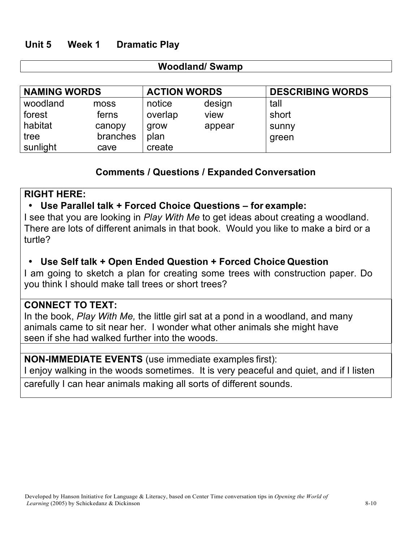# **Unit 5 Week 1 Dramatic Play**

### **Woodland/ Swamp**

| <b>NAMING WORDS</b> |          | <b>ACTION WORDS</b> |        | <b>DESCRIBING WORDS</b> |
|---------------------|----------|---------------------|--------|-------------------------|
| woodland            | moss     | notice              | design | tall                    |
| forest              | ferns    | overlap             | view   | short                   |
| habitat             | canopy   | grow                | appear | sunny                   |
| tree                | branches | plan                |        | green                   |
| sunlight            | cave     | create              |        |                         |

## **Comments / Questions / Expanded Conversation**

## **RIGHT HERE:**

## • **Use Parallel talk + Forced Choice Questions – for example:**

I see that you are looking in *Play With Me* to get ideas about creating a woodland. There are lots of different animals in that book. Would you like to make a bird or a turtle?

# • **Use Self talk + Open Ended Question + Forced Choice Question**

I am going to sketch a plan for creating some trees with construction paper. Do you think I should make tall trees or short trees?

## **CONNECT TO TEXT:**

In the book, *Play With Me,* the little girl sat at a pond in a woodland, and many animals came to sit near her. I wonder what other animals she might have seen if she had walked further into the woods.

### **NON-IMMEDIATE EVENTS** (use immediate examples first):

I enjoy walking in the woods sometimes. It is very peaceful and quiet, and if I listen

carefully I can hear animals making all sorts of different sounds.